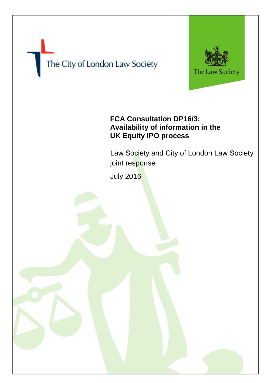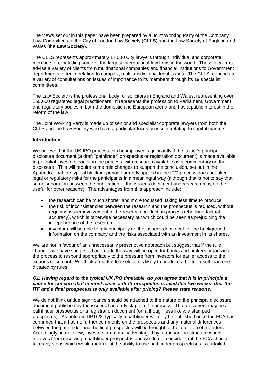The views set out in this paper have been prepared by a Joint Working Party of the Company Law Committees of the City of London Law Society (**CLLS**) and the Law Society of England and Wales (the **Law Society**).

The CLLS represents approximately 17,000 City lawyers through individual and corporate membership, including some of the largest international law firms in the world. These law firms advise a variety of clients from multinational companies and financial institutions to Government departments, often in relation to complex, multijurisdictional legal issues. The CLLS responds to a variety of consultations on issues of importance to its members through its 19 specialist committees.

The Law Society is the professional body for solicitors in England and Wales, representing over 160,000 registered legal practitioners. It represents the profession to Parliament, Government and regulatory bodies in both the domestic and European arena and has a public interest in the reform of the law.

The Joint Working Party is made up of senior and specialist corporate lawyers from both the CLLS and the Law Society who have a particular focus on issues relating to capital markets.

# **Introduction**

We believe that the UK IPO process can be improved significantly if the issuer's principal disclosure document (a draft "pathfinder" prospectus or registration document) is made available to potential investors earlier in the process, with research available as a commentary on that disclosure. This will require some rule changes to support the conclusion, set out in the Appendix, that the typical blackout period currently applied in the IPO process does not alter legal or regulatory risks for the participants in a meaningful way (although that is not to say that some separation between the publication of the issuer's document and research may not be useful for other reasons). The advantages from this approach include:

- the research can be much shorter and more focussed, taking less time to produce<br>• the risk of inconsistencies between the research and the prospectus is reduced wi
- the risk of inconsistencies between the research and the prospectus is reduced, without requiring issuer involvement in the research production process (checking factual accuracy), which is otherwise necessary but which could be seen as prejudicing the independence of the research
- investors will be able to rely principally on the issuer's document for the background information on the company and the risks associated with an investment in its shares.

We are not in favour of an unnecessarily prescriptive approach but suggest that if the rule changes we have suggested are made the way will be open for banks and brokers organizing the process to respond appropriately to the pressure from investors for earlier access to the issuer's document. We think a market-led solution is likely to produce a better result than one dictated by rules.

## *Q1: Having regard to the typical UK IPO timetable, do you agree that it is in principle a cause for concern that in most cases a draft prospectus is available two weeks after the ITF and a final prospectus is only available after pricing? Please state reasons.*

We do not think undue significance should be attached to the nature of the principal disclosure document published by the issuer at an early stage in the process. That document may be a pathfinder prospectus or a registration document (or, although less likely, a stamped prospectus). As noted in DP16/3, typically a pathfinder will only be published once the FCA has confirmed that it has no further comments on the prospectus and any material differences between the pathfinder and the final prospectus will be brought to the attention of investors. Accordingly, in our view, investors are not disadvantaged by a transaction structure which involves them receiving a pathfinder prospectus and we do not consider that the FCA should take any steps which would mean that the ability to use pathfinder prospectuses is curtailed.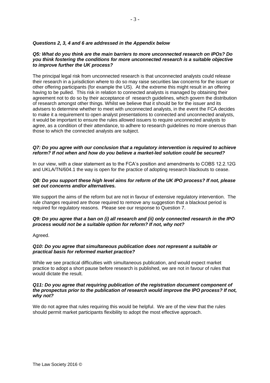## *Questions 2, 3, 4 and 6 are addressed in the Appendix below*

#### *Q5: What do you think are the main barriers to more unconnected research on IPOs? Do you think fostering the conditions for more unconnected research is a suitable objective to improve further the UK process?*

The principal legal risk from unconnected research is that unconnected analysts could release their research in a jurisdiction where to do so may raise securities law concerns for the issuer or other offering participants (for example the US). At the extreme this might result in an offering having to be pulled. This risk in relation to connected analysts is managed by obtaining their agreement not to do so by their acceptance of research guidelines, which govern the distribution of research amongst other things. Whilst we believe that it should be for the issuer and its advisers to determine whether to meet with unconnected analysts, in the event the FCA decides to make it a requirement to open analyst presentations to connected and unconnected analysts, it would be important to ensure the rules allowed issuers to require unconnected analysts to agree, as a condition of their attendance, to adhere to research guidelines no more onerous than those to which the connected analysts are subject.

## *Q7: Do you agree with our conclusion that a regulatory intervention is required to achieve reform? If not when and how do you believe a market-led solution could be secured?*

In our view, with a clear statement as to the FCA's position and amendments to COBS 12.2.12G and UKLA/TN/604.1 the way is open for the practice of adopting research blackouts to cease.

#### *Q8: Do you support these high level aims for reform of the UK IPO process? If not, please set out concerns and/or alternatives.*

We support the aims of the reform but are not in favour of extensive regulatory intervention. The rule changes required are those required to remove any suggestion that a blackout period is required for regulatory reasons. Please see our response to Question 7.

# *Q9: Do you agree that a ban on (i) all research and (ii) only connected research in the IPO process would not be a suitable option for reform? If not, why not?*

Agreed.

## *Q10: Do you agree that simultaneous publication does not represent a suitable or practical basis for reformed market practice?*

While we see practical difficulties with simultaneous publication, and would expect market practice to adopt a short pause before research is published, we are not in favour of rules that would dictate the result.

#### *Q11: Do you agree that requiring publication of the registration document component of the prospectus prior to the publication of research would improve the IPO process? If not, why not?*

We do not agree that rules requiring this would be helpful. We are of the view that the rules should permit market participants flexibility to adopt the most effective approach.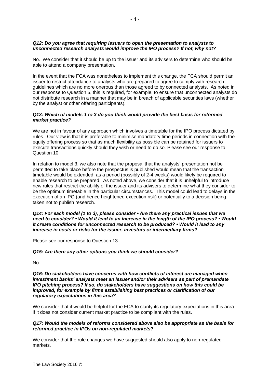## *Q12: Do you agree that requiring issuers to open the presentation to analysts to unconnected research analysts would improve the IPO process? If not, why not?*

No. We consider that it should be up to the issuer and its advisers to determine who should be able to attend a company presentation.

In the event that the FCA was nonetheless to implement this change, the FCA should permit an issuer to restrict attendance to analysts who are prepared to agree to comply with research guidelines which are no more onerous than those agreed to by connected analysts. As noted in our response to Question 5, this is required, for example, to ensure that unconnected analysts do not distribute research in a manner that may be in breach of applicable securities laws (whether by the analyst or other offering participants).

#### *Q13: Which of models 1 to 3 do you think would provide the best basis for reformed market practice?*

We are not in favour of any approach which involves a timetable for the IPO process dictated by rules. Our view is that it is preferable to minimise mandatory time periods in connection with the equity offering process so that as much flexibility as possible can be retained for issuers to execute transactions quickly should they wish or need to do so. Please see our response to Question 10.

In relation to model 3, we also note that the proposal that the analysts' presentation not be permitted to take place before the prospectus is published would mean that the transaction timetable would be extended, as a period (possibly of 2-4 weeks) would likely be required to enable research to be prepared. As noted above, we consider that it is unhelpful to introduce new rules that restrict the ability of the issuer and its advisers to determine what they consider to be the optimum timetable in the particular circumstances. This model could lead to delays in the execution of an IPO (and hence heightened execution risk) or potentially to a decision being taken not to publish research.

*Q14: For each model (1 to 3), please consider • Are there any practical issues that we need to consider? • Would it lead to an increase in the length of the IPO process? • Would it create conditions for unconnected research to be produced? • Would it lead to any increase in costs or risks for the issuer, investors or intermediary firms?* 

Please see our response to Question 13.

## *Q15: Are there any other options you think we should consider?*

No.

#### *Q16: Do stakeholders have concerns with how conflicts of interest are managed when investment banks' analysts meet an issuer and/or their advisers as part of premandate IPO pitching process? If so, do stakeholders have suggestions on how this could be improved, for example by firms establishing best practices or clarification of our regulatory expectations in this area?*

We consider that it would be helpful for the FCA to clarify its regulatory expectations in this area if it does not consider current market practice to be compliant with the rules.

## *Q17: Would the models of reforms considered above also be appropriate as the basis for reformed practice in IPOs on non-regulated markets?*

We consider that the rule changes we have suggested should also apply to non-regulated markets.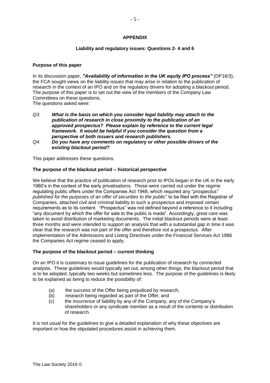## **APPENDIX**

#### **Liability and regulatory issues: Questions 2- 4 and 6**

#### **Purpose of this paper**

In its discussion paper, *"Availability of information in the UK equity IPO process"* (DP16/3), the FCA sought views on the liability issues that may arise in relation to the publication of research in the context of an IPO and on the regulatory drivers for adopting a blackout period. The purpose of this paper is to set out the view of the members of the Company Law Committees on these questions.

The questions asked were:

- *Q3: What is the basis on which you consider legal liability may attach to the publication of research in close proximity to the publication of an approved prospectus? Please explain by reference to the current legal framework. It would be helpful if you consider the question from a perspective of both issuers and research publishers.*
- *Q4: Do you have any comments on regulatory or other possible drivers of the existing blackout period?*

This paper addresses these questions.

#### **The purpose of the blackout period – historical perspective**

We believe that the practice of publication of research prior to IPOs began in the UK in the early 1980's in the context of the early privatisations. Those were carried out under the regime regulating public offers under the Companies Act 1948, which required any "*prospectus" published for the purposes of an offer of securities to the public*" to be filed with the Registrar of Companies, attached civil and criminal liability to such a prospectus and imposed certain requirements as to its content. "Prospectus" was not defined beyond a reference to it including "any document by which the offer for sale to the public is made". Accordingly, great care was taken to avoid distribution of marketing documents. The initial blackout periods were at least three months and were intended to support an analysis that with a substantial gap in time it was clear that the research was not part of the offer and therefore not a prospectus. After implementation of the Admissions and Listing Directives under the Financial Services Act 1986 the Companies Act regime ceased to apply.

## **The purpose of the blackout period – current thinking**

On an IPO it is customary to issue guidelines for the publication of research by connected analysts. These guidelines would typically set out, among other things, the blackout period that is to be adopted, typically two weeks but sometimes less. The purpose of the guidelines is likely to be explained as being to reduce the possibility of:

- (a) the success of the Offer being prejudiced by research;
- (b) research being regarded as part of the Offer; and
- (c) the incurrence of liability by any of the Company, any of the Company's shareholders or any syndicate member as a result of the contents or distribution of research.

It is not usual for the guidelines to give a detailed explanation of why these objectives are important or how the stipulated procedures assist in achieving them.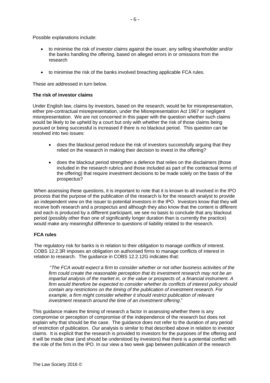Possible explanations include:

- to minimise the risk of investor claims against the issuer, any selling shareholder and/or the banks handling the offering, based on alleged errors in or omissions from the research
- to minimise the risk of the banks involved breaching applicable FCA rules.

These are addressed in turn below.

#### **The risk of investor claims**

Under English law, claims by investors, based on the research, would be for misrepresentation, either pre-contractual misrepresentation, under the Misrepresentation Act 1967 or negligent misrepresentation. We are not concerned in this paper with the question whether such claims would be likely to be upheld by a court but only with whether the risk of those claims being pursued or being successful is increased if there is no blackout period. This question can be resolved into two issues:

- does the blackout period reduce the risk of investors successfully arguing that they relied on the research in making their decision to invest in the offering?
- does the blackout period strengthen a defence that relies on the disclaimers (those included in the research rubrics and those included as part of the contractual terms of the offering) that require investment decisions to be made solely on the basis of the prospectus?

When assessing these questions, it is important to note that it is known to all involved in the IPO process that the purpose of the publication of the research is for the research analyst to provide an independent view on the issuer to potential investors in the IPO. Investors know that they will receive both research and a prospectus and although they also know that the content is different and each is produced by a different participant, we see no basis to conclude that any blackout period (possibly other than one of significantly longer duration than is currently the practice) would make any meaningful difference to questions of liability related to the research.

## **FCA rules**

The regulatory risk for banks is in relation to their obligation to manage conflicts of interest. COBS 12.2.3R imposes an obligation on authorised firms to manage conflicts of interest in relation to research. The guidance in COBS 12.2.12G indicates that:

"*The FCA would expect a firm to consider whether or not other business activities of the firm could create the reasonable perception that its investment research may not be an impartial analysis of the market in, or the value or prospects of, a financial instrument. A firm would therefore be expected to consider whether its conflicts of interest policy should contain any restrictions on the timing of the publication of investment research. For example, a firm might consider whether it should restrict publication of relevant investment research around the time of an investment offering*."

This guidance makes the timing of research a factor in assessing whether there is any compromise or perception of compromise of the independence of the research but does not explain why that should be the case. The guidance does not refer to the duration of any period of restriction of publication. Our analysis is similar to that described above in relation to investor claims. It is explicit that the research is provided to investors for the purposes of the offering and it will be made clear (and should be understood by investors) that there is a potential conflict with the role of the firm in the IPO. In our view a two week gap between publication of the research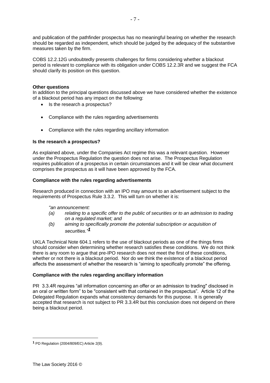and publication of the pathfinder prospectus has no meaningful bearing on whether the research should be regarded as independent, which should be judged by the adequacy of the substantive measures taken by the firm.

COBS 12.2.12G undoubtedly presents challenges for firms considering whether a blackout period is relevant to compliance with its obligation under COBS 12.2.3R and we suggest the FCA should clarify its position on this question.

## **Other questions**

In addition to the principal questions discussed above we have considered whether the existence of a blackout period has any impact on the following:

- Is the research a prospectus?
- Compliance with the rules regarding advertisements
- Compliance with the rules regarding ancillary information

# **Is the research a prospectus?**

As explained above, under the Companies Act regime this was a relevant question. However under the Prospectus Regulation the question does not arise. The Prospectus Regulation requires publication of a prospectus in certain circumstances and it will be clear what document comprises the prospectus as it will have been approved by the FCA.

# **Compliance with the rules regarding advertisements**

Research produced in connection with an IPO may amount to an advertisement subject to the requirements of Prospectus Rule 3.3.2. This will turn on whether it is:

## *"an announcement:*

- *(a) relating to a specific offer to the public of securities or to an admission to trading on a regulated market; and*
- *(b) aiming to specifically promote the potential subscription or acquisition of securities."1*

UKLA Technical Note 604.1 refers to the use of blackout periods as one of the things firms should consider when determining whether research satisfies these conditions. We do not think there is any room to argue that pre-IPO research does not meet the first of these conditions, whether or not there is a blackout period. Nor do we think the existence of a blackout period affects the assessment of whether the research is "aiming to specifically promote" the offering.

## **Compliance with the rules regarding ancillary information**

PR 3.3.4R requires "all information concerning an offer or an admission to trading" disclosed in an oral or written form" to be "consistent with that contained in the prospectus". Article 12 of the Delegated Regulation expands what consistency demands for this purpose. It is generally accepted that research is not subject to PR 3.3.4R but this conclusion does not depend on there being a blackout period.

 $\overline{a}$ 

**<sup>1</sup>** PD Regulation (2004/809/EC) Article 2(9).